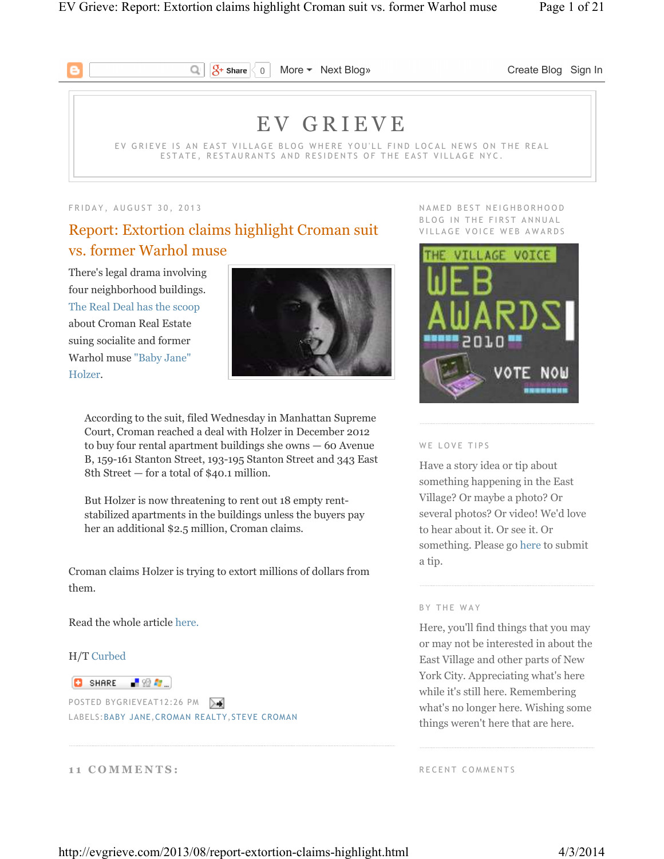

 $\sqrt{2}$  Share 0 More • Next Blog» Create Blog Sign In

# E V G R I E V E

EV GRIEVE IS AN EAST VILLAGE BLOG WHERE YOU'LL FIND LOCAL NEWS ON THE REAL ESTATE, RESTAURANTS AND RESIDENTS OF THE EAST VILLAGE NYC.

#### FRIDAY, AUGUST 30, 2013

# Report: Extortion claims highlight Croman suit vs. former Warhol muse

Q

There's legal drama involving four neighborhood buildings. The Real Deal has the scoop about Croman Real Estate suing socialite and former Warhol muse "Baby Jane" Holzer.



According to the suit, filed Wednesday in Manhattan Supreme Court, Croman reached a deal with Holzer in December 2012 to buy four rental apartment buildings she owns — 60 Avenue B, 159-161 Stanton Street, 193-195 Stanton Street and 343 East 8th Street — for a total of \$40.1 million.

But Holzer is now threatening to rent out 18 empty rentstabilized apartments in the buildings unless the buyers pay her an additional \$2.5 million, Croman claims.

Croman claims Holzer is trying to extort millions of dollars from them.

Read the whole article here.

## H/T Curbed

## **O** SHARE 【验*题*】

POSTED BYGRIEVEAT12:26 PM LABELS:BABY JANE,CROMAN REALTY,STEVE CROMAN

## 11 COMMENTS:

NAMED BEST NEIGHBORHOOD BLOG IN THE FIRST ANNUAL VILLAGE VOICE WEB AWARDS



#### WE LOVE TIPS

Have a story idea or tip about something happening in the East Village? Or maybe a photo? Or several photos? Or video! We'd love to hear about it. Or see it. Or something. Please go here to submit a tip.

## BY THE WAY

Here, you'll find things that you may or may not be interested in about the East Village and other parts of New York City. Appreciating what's here while it's still here. Remembering what's no longer here. Wishing some things weren't here that are here.

RECENT COMMENTS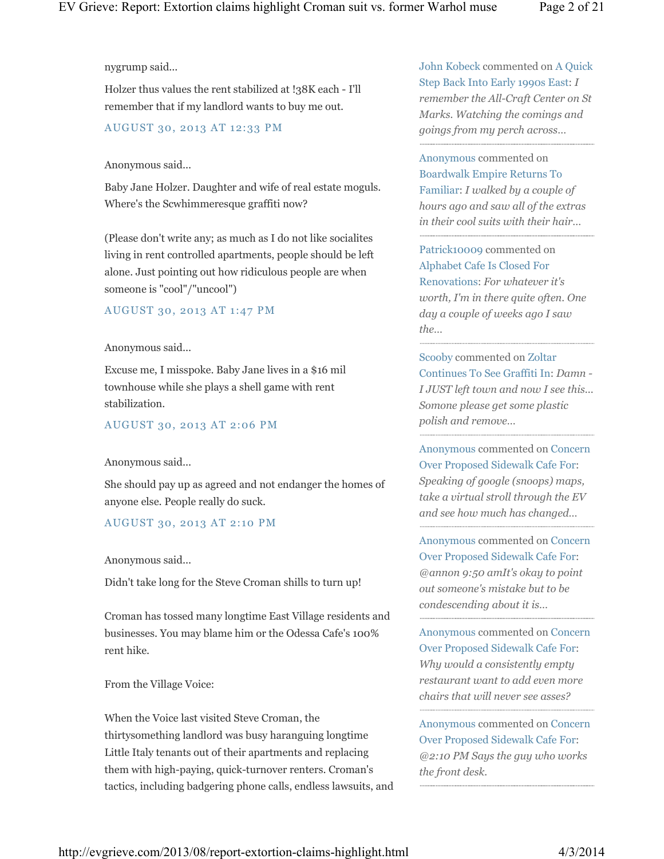## nygrump said...

Holzer thus values the rent stabilized at !38K each - I'll remember that if my landlord wants to buy me out.

## AUGUST 30, 2013 AT 12:33 PM

## Anonymous said...

Baby Jane Holzer. Daughter and wife of real estate moguls. Where's the Scwhimmeresque graffiti now?

(Please don't write any; as much as I do not like socialites living in rent controlled apartments, people should be left alone. Just pointing out how ridiculous people are when someone is "cool"/"uncool")

## AUGUST 30, 2013 AT 1:47 PM

#### Anonymous said...

Excuse me, I misspoke. Baby Jane lives in a \$16 mil townhouse while she plays a shell game with rent stabilization.

## AUGUST 30, 2013 AT 2:06 PM

## Anonymous said...

She should pay up as agreed and not endanger the homes of anyone else. People really do suck.

## AUGUST 30, 2013 AT 2:10 PM

Anonymous said...

Didn't take long for the Steve Croman shills to turn up!

Croman has tossed many longtime East Village residents and businesses. You may blame him or the Odessa Cafe's 100% rent hike.

From the Village Voice:

When the Voice last visited Steve Croman, the thirtysomething landlord was busy haranguing longtime Little Italy tenants out of their apartments and replacing them with high-paying, quick-turnover renters. Croman's tactics, including badgering phone calls, endless lawsuits, and John Kobeck commented on A Quick Step Back Into Early 1990s East: *I remember the All-Craft Center on St Marks. Watching the comings and goings from my perch across…*

Anonymous commented on Boardwalk Empire Returns To Familiar: *I walked by a couple of hours ago and saw all of the extras in their cool suits with their hair…*

Patrick10009 commented on Alphabet Cafe Is Closed For Renovations: *For whatever it's worth, I'm in there quite often. One day a couple of weeks ago I saw the…*

Scooby commented on Zoltar Continues To See Graffiti In: *Damn - I JUST left town and now I see this... Somone please get some plastic polish and remove…*

Anonymous commented on Concern Over Proposed Sidewalk Cafe For: *Speaking of google (snoops) maps, take a virtual stroll through the EV and see how much has changed…*

Anonymous commented on Concern Over Proposed Sidewalk Cafe For: *@annon 9:50 amIt's okay to point out someone's mistake but to be condescending about it is…*

Anonymous commented on Concern Over Proposed Sidewalk Cafe For: *Why would a consistently empty restaurant want to add even more chairs that will never see asses?*

Anonymous commented on Concern Over Proposed Sidewalk Cafe For: *@2:10 PM Says the guy who works the front desk.*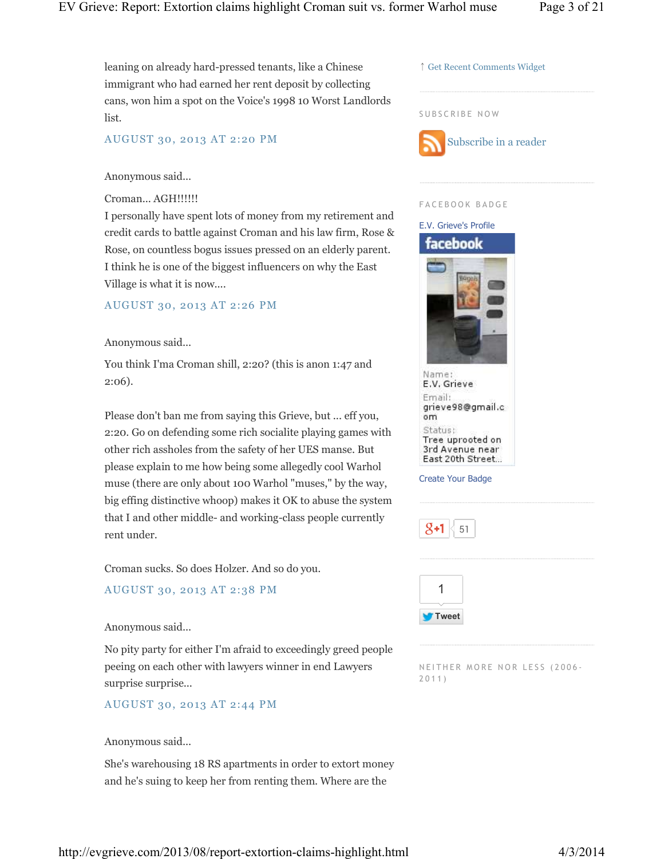leaning on already hard-pressed tenants, like a Chinese immigrant who had earned her rent deposit by collecting cans, won him a spot on the Voice's 1998 10 Worst Landlords list.

## AUGUST 30, 2013 AT 2:20 PM

## Anonymous said...

## Croman... AGH!!!!!!

I personally have spent lots of money from my retirement and credit cards to battle against Croman and his law firm, Rose & Rose, on countless bogus issues pressed on an elderly parent. I think he is one of the biggest influencers on why the East Village is what it is now....

## AUGUST 30, 2013 AT 2:26 PM

## Anonymous said...

You think I'ma Croman shill, 2:20? (this is anon 1:47 and 2:06).

Please don't ban me from saying this Grieve, but ... eff you, 2:20. Go on defending some rich socialite playing games with other rich assholes from the safety of her UES manse. But please explain to me how being some allegedly cool Warhol muse (there are only about 100 Warhol "muses," by the way, big effing distinctive whoop) makes it OK to abuse the system that I and other middle- and working-class people currently rent under.

Croman sucks. So does Holzer. And so do you.

## AUGUST 30, 2013 AT 2:38 PM

## Anonymous said...

No pity party for either I'm afraid to exceedingly greed people peeing on each other with lawyers winner in end Lawyers surprise surprise...

## AUGUST 30, 2013 AT 2:44 PM

## Anonymous said...

She's warehousing 18 RS apartments in order to extort money and he's suing to keep her from renting them. Where are the



#### F A C E B O O K B A D G E



Create Your Badge



NEITHER MORE NOR LESS (2006-2 0 1 1 )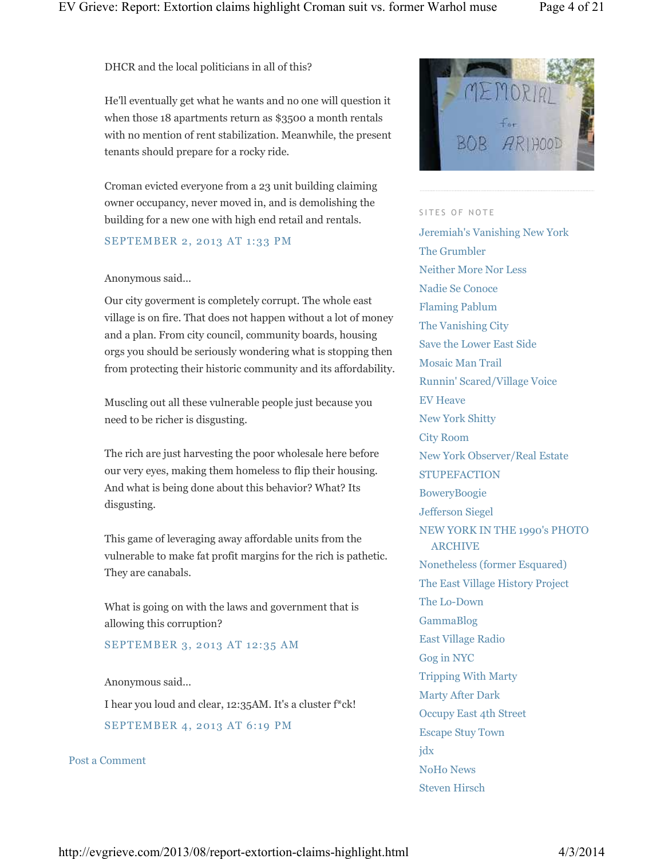DHCR and the local politicians in all of this?

He'll eventually get what he wants and no one will question it when those 18 apartments return as \$3500 a month rentals with no mention of rent stabilization. Meanwhile, the present tenants should prepare for a rocky ride.

Croman evicted everyone from a 23 unit building claiming owner occupancy, never moved in, and is demolishing the building for a new one with high end retail and rentals.

## SEPTEMBER 2, 2013 AT 1:33 PM

## Anonymous said...

Our city goverment is completely corrupt. The whole east village is on fire. That does not happen without a lot of money and a plan. From city council, community boards, housing orgs you should be seriously wondering what is stopping then from protecting their historic community and its affordability.

Muscling out all these vulnerable people just because you need to be richer is disgusting.

The rich are just harvesting the poor wholesale here before our very eyes, making them homeless to flip their housing. And what is being done about this behavior? What? Its disgusting.

This game of leveraging away affordable units from the vulnerable to make fat profit margins for the rich is pathetic. They are canabals.

What is going on with the laws and government that is allowing this corruption?

SEPTEMBER 3, 2013 AT 12:35 AM

#### Anonymous said...

I hear you loud and clear, 12:35AM. It's a cluster f\*ck! SEPTEMBER 4, 2013 AT 6:19 PM

Post a Comment



#### SITES OF NOTE

Jeremiah's Vanishing New York The Grumbler Neither More Nor Less Nadie Se Conoce Flaming Pablum The Vanishing City Save the Lower East Side Mosaic Man Trail Runnin' Scared/Village Voice EV Heave New York Shitty City Room New York Observer/Real Estate **STUPEFACTION** BoweryBoogie Jefferson Siegel NEW YORK IN THE 1990's PHOTO ARCHIVE Nonetheless (former Esquared) The East Village History Project The Lo-Down GammaBlog East Village Radio Gog in NYC Tripping With Marty Marty After Dark Occupy East 4th Street Escape Stuy Town jdx NoHo News Steven Hirsch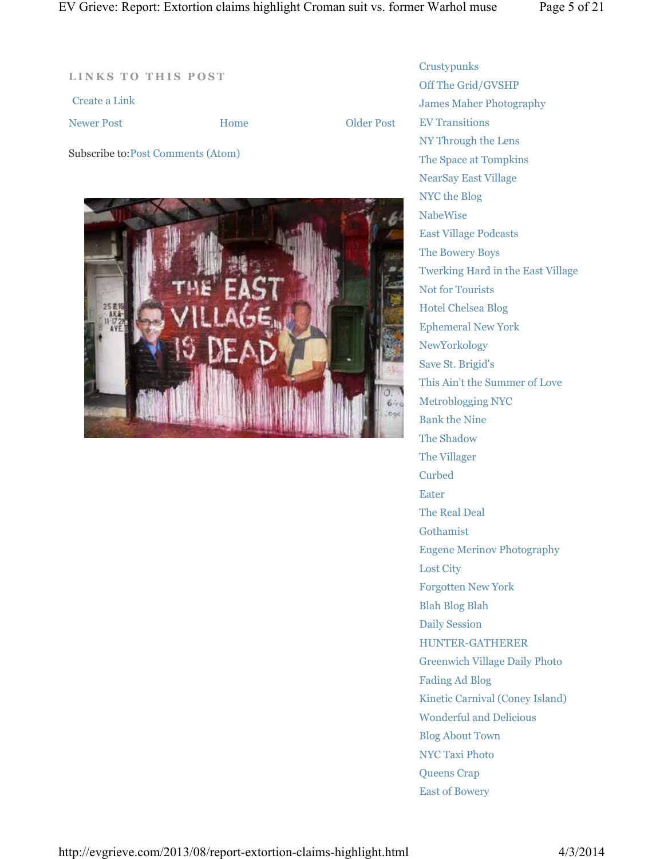**LINKS TO THIS POST** 

Subscribe to:Post Comments (Atom)

Create a Link

Newer Post **CONFIDENTIAL EXECUTE:** Home **CONFIDENT** Older Post

Home



**Crustypunks** Off The Grid/GVSHP James Maher Photography EV Transitions NY Through the Lens The Space at Tompkins NearSay East Village NYC the Blog NabeWise East Village Podcasts The Bowery Boys Twerking Hard in the East Village Not for Tourists Hotel Chelsea Blog Ephemeral New York NewYorkology Save St. Brigid's This Ain't the Summer of Love Metroblogging NYC Bank the Nine The Shadow The Villager Curbed Eater The Real Deal Gothamist Eugene Merinov Photography Lost City Forgotten New York Blah Blog Blah Daily Session HUNTER-GATHERER Greenwich Village Daily Photo Fading Ad Blog Kinetic Carnival (Coney Island) Wonderful and Delicious Blog About Town NYC Taxi Photo Queens Crap East of Bowery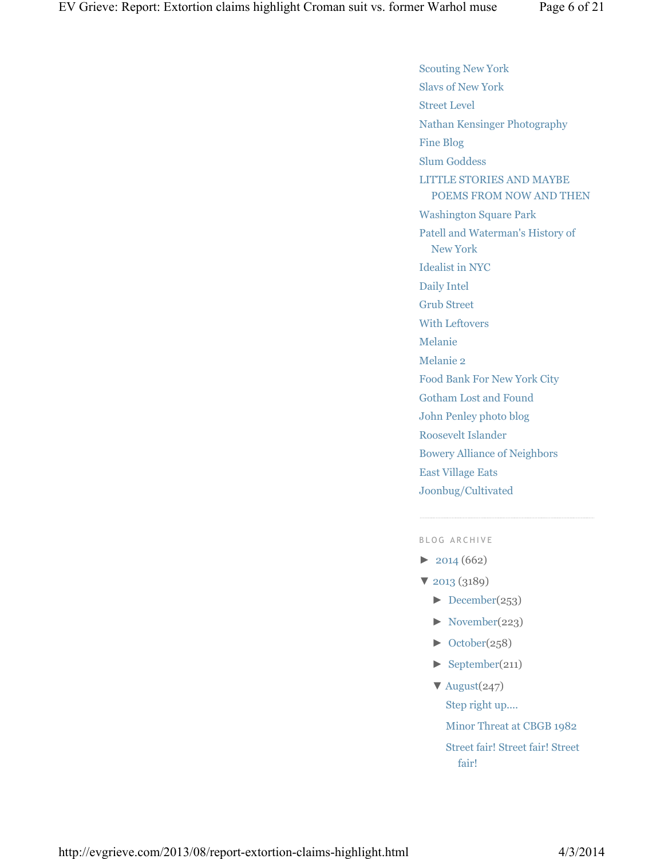Scouting New York Slavs of New York Street Level Nathan Kensinger Photography Fine Blog Slum Goddess LITTLE STORIES AND MAYBE POEMS FROM NOW AND THEN Washington Square Park Patell and Waterman's History of New York Idealist in NYC Daily Intel Grub Street With Leftovers Melanie Melanie 2 Food Bank For New York City Gotham Lost and Found John Penley photo blog Roosevelt Islander Bowery Alliance of Neighbors East Village Eats Joonbug/Cultivated

## B L O G A R C H I V E

- $\blacktriangleright$  2014 (662)
- ▼ 2013 (3189)
	- $\blacktriangleright$  December(253)
	- ► November(223)
	- $\blacktriangleright$  October(258)
	- $\blacktriangleright$  September(211)
	- $\nabla$  August(247) Step right up....

Minor Threat at CBGB 1982

Street fair! Street fair! Street fair!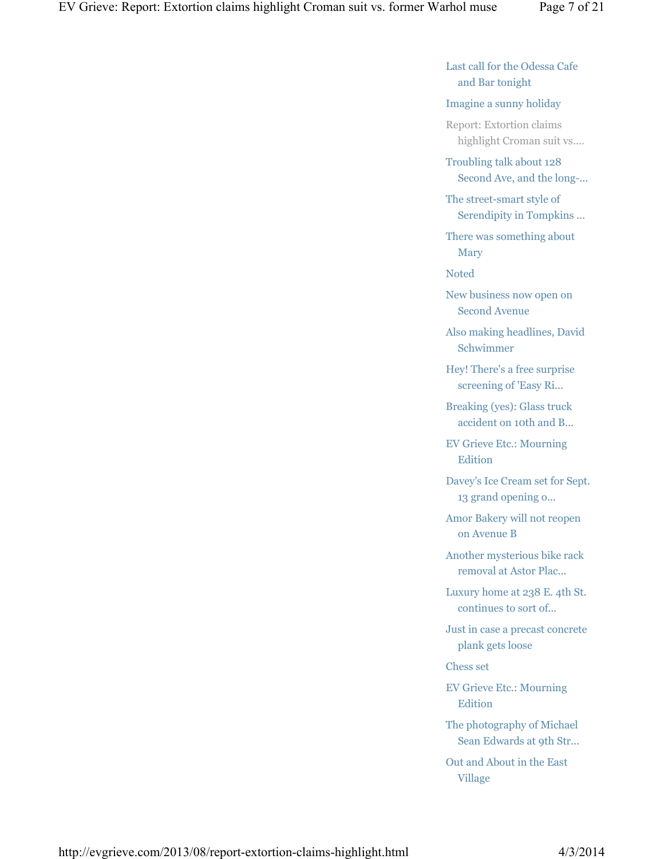Last call for the Odessa Cafe and Bar tonight

## Imagine a sunny holiday

Report: Extortion claims highlight Croman suit vs....

Troubling talk about 128 Second Ave, and the long-...

The street-smart style of Serendipity in Tompkins ...

There was something about Mary

Noted

New business now open on Second Avenue

Also making headlines, David Schwimmer

Hey! There's a free surprise screening of 'Easy Ri...

Breaking (yes): Glass truck accident on 10th and B...

EV Grieve Etc.: Mourning Edition

Davey's Ice Cream set for Sept. 13 grand opening o...

Amor Bakery will not reopen on Avenue B

Another mysterious bike rack removal at Astor Plac...

Luxury home at 238 E. 4th St. continues to sort of...

Just in case a precast concrete plank gets loose

Chess set

EV Grieve Etc.: Mourning Edition

The photography of Michael Sean Edwards at 9th Str...

Out and About in the East Village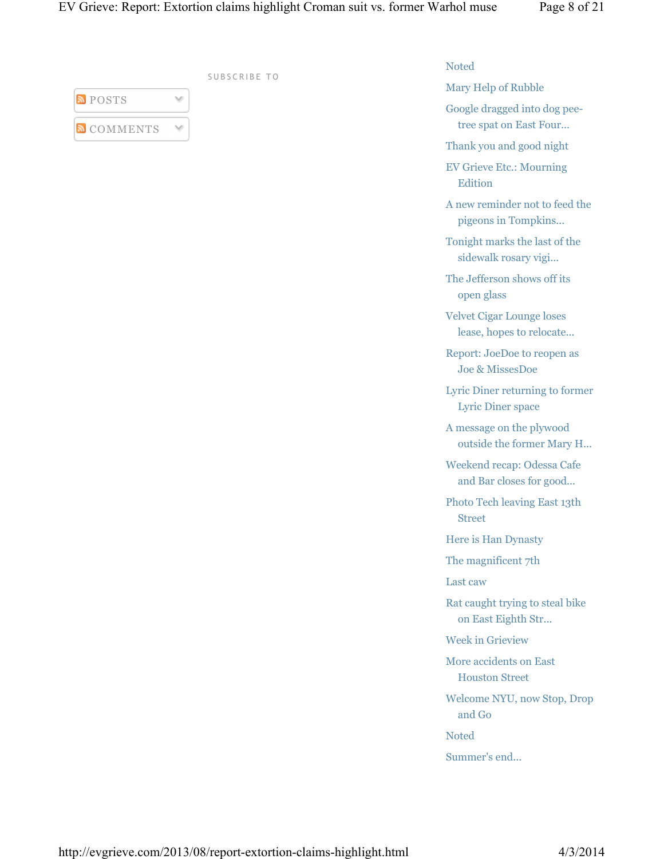| <b>POSTS</b>      |  |
|-------------------|--|
| <b>N</b> COMMENTS |  |

SUBSCRIBE TO

## Noted

Mary Help of Rubble

Google dragged into dog peetree spat on East Four...

Thank you and good night

EV Grieve Etc.: Mourning Edition

A new reminder not to feed the pigeons in Tompkins...

Tonight marks the last of the sidewalk rosary vigi...

The Jefferson shows off its open glass

Velvet Cigar Lounge loses lease, hopes to relocate...

Report: JoeDoe to reopen as Joe & MissesDoe

Lyric Diner returning to former Lyric Diner space

A message on the plywood outside the former Mary H...

Weekend recap: Odessa Cafe and Bar closes for good...

Photo Tech leaving East 13th Street

Here is Han Dynasty

The magnificent 7th

Last caw

Rat caught trying to steal bike on East Eighth Str...

Week in Grieview

More accidents on East Houston Street

Welcome NYU, now Stop, Drop and Go

Noted

Summer's end...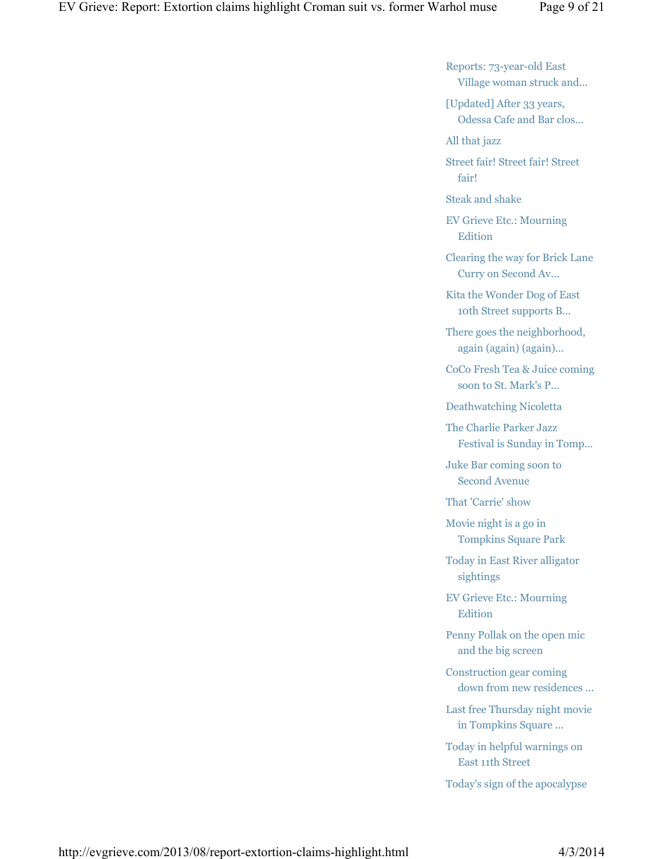Reports: 73-year-old East Village woman struck and...

[Updated] After 33 years, Odessa Cafe and Bar clos...

All that jazz

Street fair! Street fair! Street fair!

Steak and shake

EV Grieve Etc.: Mourning Edition

Clearing the way for Brick Lane Curry on Second Av...

Kita the Wonder Dog of East 10th Street supports B...

There goes the neighborhood, again (again) (again)...

CoCo Fresh Tea & Juice coming soon to St. Mark's P...

Deathwatching Nicoletta

The Charlie Parker Jazz Festival is Sunday in Tomp...

Juke Bar coming soon to Second Avenue

That 'Carrie' show

Movie night is a go in Tompkins Square Park

Today in East River alligator sightings

EV Grieve Etc.: Mourning Edition

Penny Pollak on the open mic and the big screen

Construction gear coming down from new residences ...

Last free Thursday night movie in Tompkins Square ...

Today in helpful warnings on East 11th Street

Today's sign of the apocalypse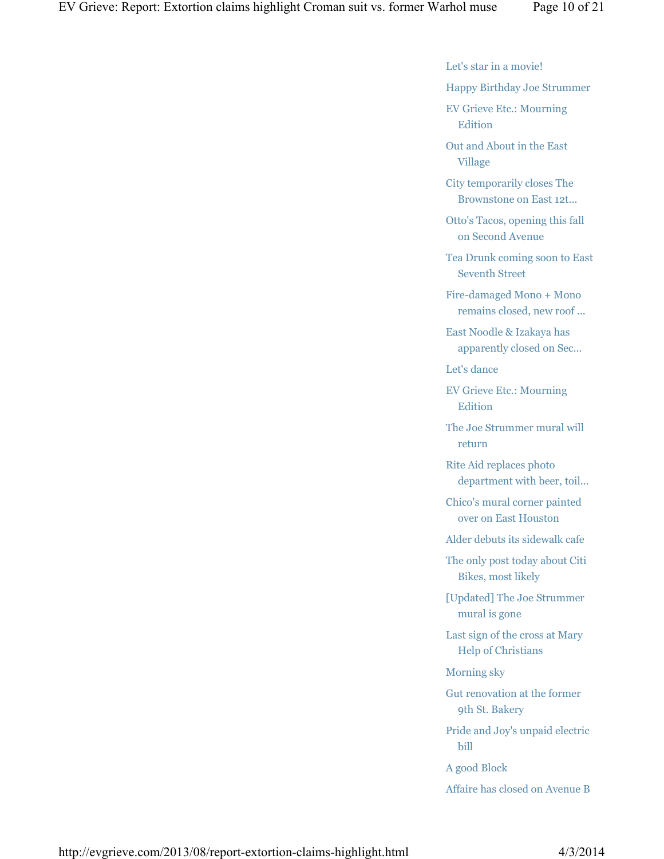Let's star in a movie!

Happy Birthday Joe Strummer

EV Grieve Etc.: Mourning Edition

Out and About in the East Village

City temporarily closes The Brownstone on East 12t...

Otto's Tacos, opening this fall on Second Avenue

Tea Drunk coming soon to East Seventh Street

Fire-damaged Mono + Mono remains closed, new roof ...

East Noodle & Izakaya has apparently closed on Sec...

Let's dance

EV Grieve Etc.: Mourning **Edition** 

The Joe Strummer mural will return

Rite Aid replaces photo department with beer, toil...

Chico's mural corner painted over on East Houston

Alder debuts its sidewalk cafe

The only post today about Citi Bikes, most likely

[Updated] The Joe Strummer mural is gone

Last sign of the cross at Mary Help of Christians

Morning sky

Gut renovation at the former 9th St. Bakery

Pride and Joy's unpaid electric bill

A good Block

Affaire has closed on Avenue B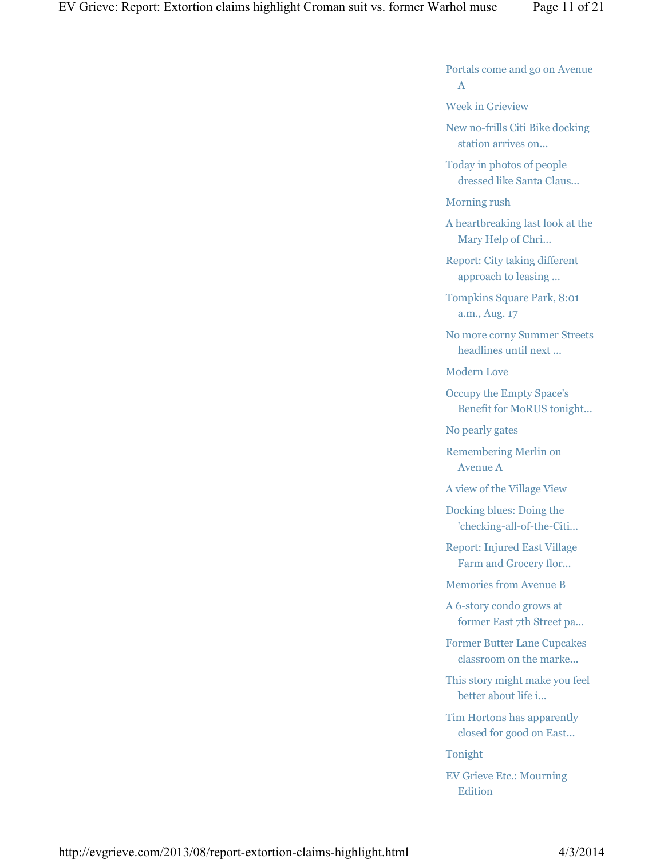Portals come and go on Avenue A

Week in Grieview

New no-frills Citi Bike docking station arrives on...

Today in photos of people dressed like Santa Claus...

Morning rush

A heartbreaking last look at the Mary Help of Chri...

Report: City taking different approach to leasing ...

Tompkins Square Park, 8:01 a.m., Aug. 17

No more corny Summer Streets headlines until next ...

Modern Love

Occupy the Empty Space's Benefit for MoRUS tonight...

No pearly gates

Remembering Merlin on Avenue A

A view of the Village View

Docking blues: Doing the 'checking-all-of-the-Citi...

Report: Injured East Village Farm and Grocery flor...

Memories from Avenue B

A 6-story condo grows at former East 7th Street pa...

Former Butter Lane Cupcakes classroom on the marke...

This story might make you feel better about life i...

Tim Hortons has apparently closed for good on East...

Tonight

EV Grieve Etc.: Mourning Edition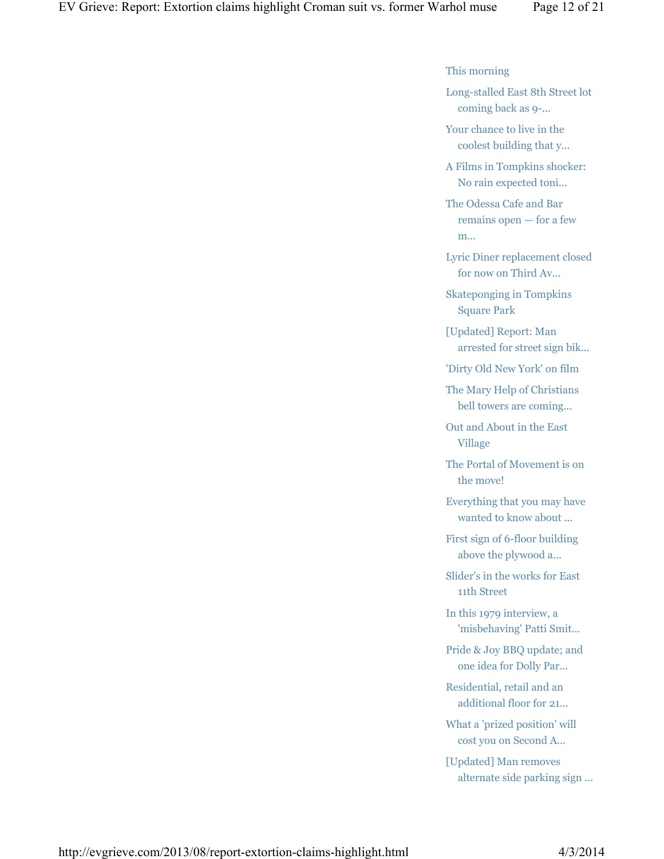#### This morning

Long-stalled East 8th Street lot coming back as 9-...

Your chance to live in the coolest building that y...

A Films in Tompkins shocker: No rain expected toni...

The Odessa Cafe and Bar remains open — for a few m...

Lyric Diner replacement closed for now on Third Av...

Skateponging in Tompkins Square Park

[Updated] Report: Man arrested for street sign bik...

'Dirty Old New York' on film

The Mary Help of Christians bell towers are coming...

Out and About in the East Village

The Portal of Movement is on the move!

Everything that you may have wanted to know about ...

First sign of 6-floor building above the plywood a...

Slider's in the works for East 11th Street

In this 1979 interview, a 'misbehaving' Patti Smit...

Pride & Joy BBQ update; and one idea for Dolly Par...

Residential, retail and an additional floor for 21...

What a 'prized position' will cost you on Second A...

[Updated] Man removes alternate side parking sign ...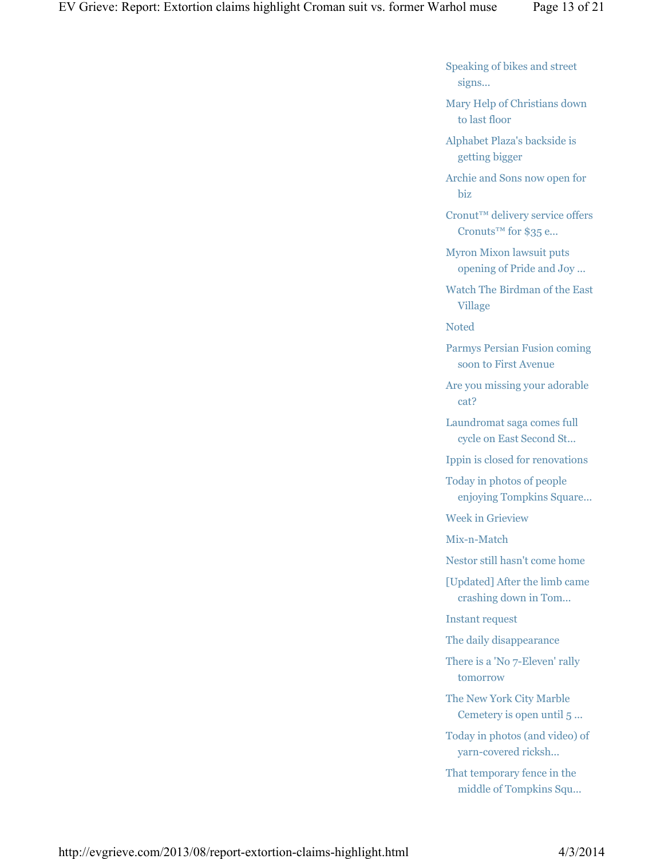Speaking of bikes and street signs...

Mary Help of Christians down to last floor

Alphabet Plaza's backside is getting bigger

Archie and Sons now open for biz

Cronut™ delivery service offers Cronuts™ for \$35 e...

Myron Mixon lawsuit puts opening of Pride and Joy ...

Watch The Birdman of the East Village

Noted

Parmys Persian Fusion coming soon to First Avenue

Are you missing your adorable cat?

Laundromat saga comes full cycle on East Second St...

Ippin is closed for renovations

Today in photos of people enjoying Tompkins Square...

Week in Grieview

Mix-n-Match

Nestor still hasn't come home

[Updated] After the limb came crashing down in Tom...

Instant request

The daily disappearance

There is a 'No 7-Eleven' rally tomorrow

The New York City Marble Cemetery is open until 5 ...

Today in photos (and video) of yarn-covered ricksh...

That temporary fence in the middle of Tompkins Squ...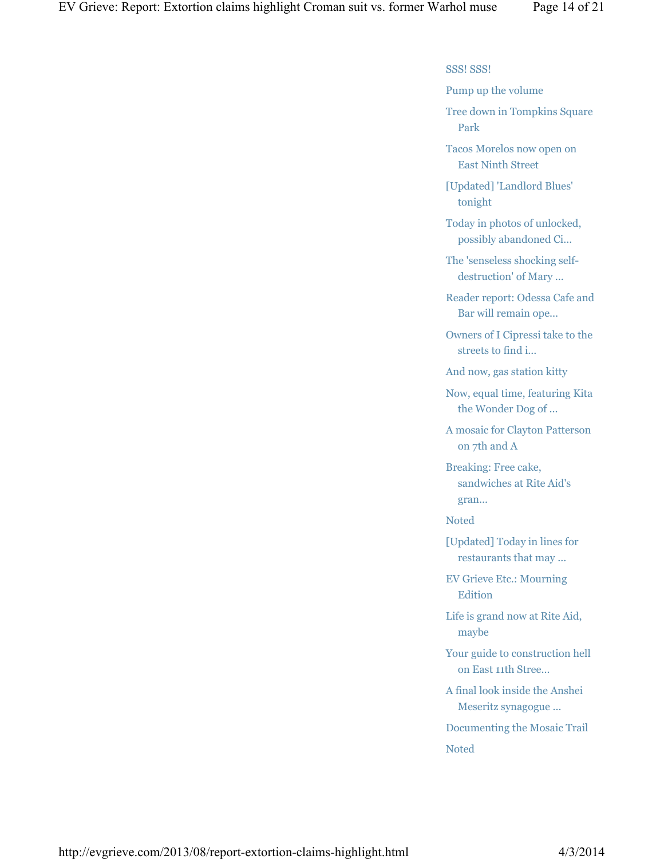SSS! SSS!

Pump up the volume

Tree down in Tompkins Square Park

Tacos Morelos now open on East Ninth Street

[Updated] 'Landlord Blues' tonight

Today in photos of unlocked, possibly abandoned Ci...

The 'senseless shocking selfdestruction' of Mary ...

Reader report: Odessa Cafe and Bar will remain ope...

Owners of I Cipressi take to the streets to find i...

And now, gas station kitty

Now, equal time, featuring Kita the Wonder Dog of ...

A mosaic for Clayton Patterson on 7th and A

Breaking: Free cake, sandwiches at Rite Aid's gran...

Noted

[Updated] Today in lines for restaurants that may ...

EV Grieve Etc.: Mourning Edition

Life is grand now at Rite Aid, maybe

Your guide to construction hell on East 11th Stree...

A final look inside the Anshei Meseritz synagogue ...

Documenting the Mosaic Trail

Noted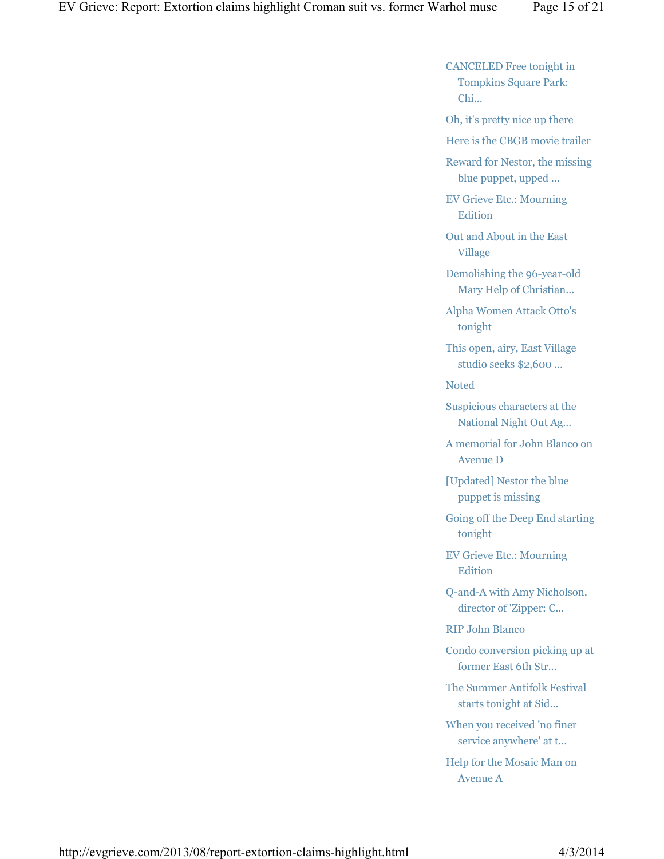CANCELED Free tonight in Tompkins Square Park: Chi...

Oh, it's pretty nice up there

Here is the CBGB movie trailer

Reward for Nestor, the missing blue puppet, upped ...

EV Grieve Etc.: Mourning Edition

Out and About in the East Village

Demolishing the 96-year-old Mary Help of Christian...

Alpha Women Attack Otto's tonight

This open, airy, East Village studio seeks \$2,600 ...

Noted

Suspicious characters at the National Night Out Ag...

A memorial for John Blanco on Avenue D

[Updated] Nestor the blue puppet is missing

Going off the Deep End starting tonight

EV Grieve Etc.: Mourning Edition

Q-and-A with Amy Nicholson, director of 'Zipper: C...

RIP John Blanco

Condo conversion picking up at former East 6th Str...

The Summer Antifolk Festival starts tonight at Sid...

When you received 'no finer service anywhere' at t...

Help for the Mosaic Man on Avenue A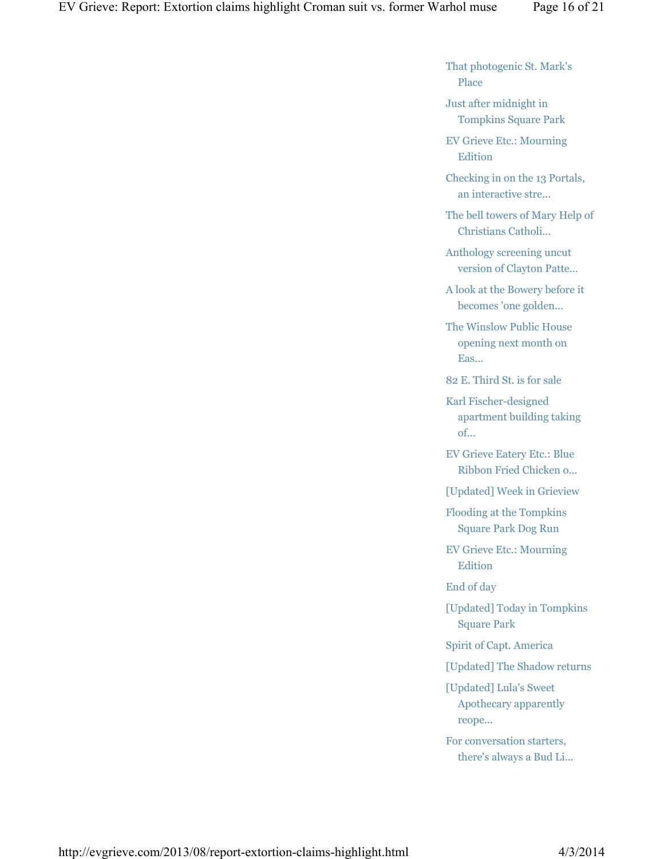That photogenic St. Mark's Place

Just after midnight in Tompkins Square Park

EV Grieve Etc.: Mourning **Edition** 

Checking in on the 13 Portals, an interactive stre...

The bell towers of Mary Help of Christians Catholi...

Anthology screening uncut version of Clayton Patte...

A look at the Bowery before it becomes 'one golden...

The Winslow Public House opening next month on Eas...

82 E. Third St. is for sale

Karl Fischer-designed apartment building taking of...

EV Grieve Eatery Etc.: Blue Ribbon Fried Chicken o...

[Updated] Week in Grieview

Flooding at the Tompkins Square Park Dog Run

EV Grieve Etc.: Mourning Edition

End of day

[Updated] Today in Tompkins Square Park

Spirit of Capt. America

[Updated] The Shadow returns

[Updated] Lula's Sweet Apothecary apparently reope...

For conversation starters, there's always a Bud Li...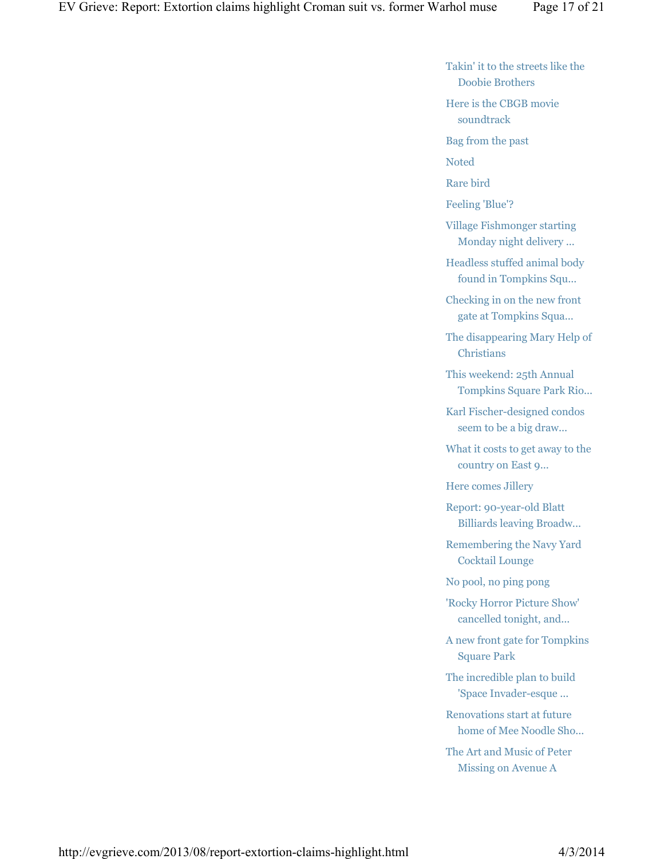Takin' it to the streets like the Doobie Brothers

Here is the CBGB movie soundtrack

Bag from the past

Noted

Rare bird

Feeling 'Blue'?

Village Fishmonger starting Monday night delivery ...

Headless stuffed animal body found in Tompkins Squ...

Checking in on the new front gate at Tompkins Squa...

The disappearing Mary Help of Christians

This weekend: 25th Annual Tompkins Square Park Rio...

Karl Fischer-designed condos seem to be a big draw...

What it costs to get away to the country on East 9...

Here comes Jillery

Report: 90-year-old Blatt Billiards leaving Broadw...

Remembering the Navy Yard Cocktail Lounge

No pool, no ping pong

'Rocky Horror Picture Show' cancelled tonight, and...

A new front gate for Tompkins Square Park

The incredible plan to build 'Space Invader-esque ...

Renovations start at future home of Mee Noodle Sho...

The Art and Music of Peter Missing on Avenue A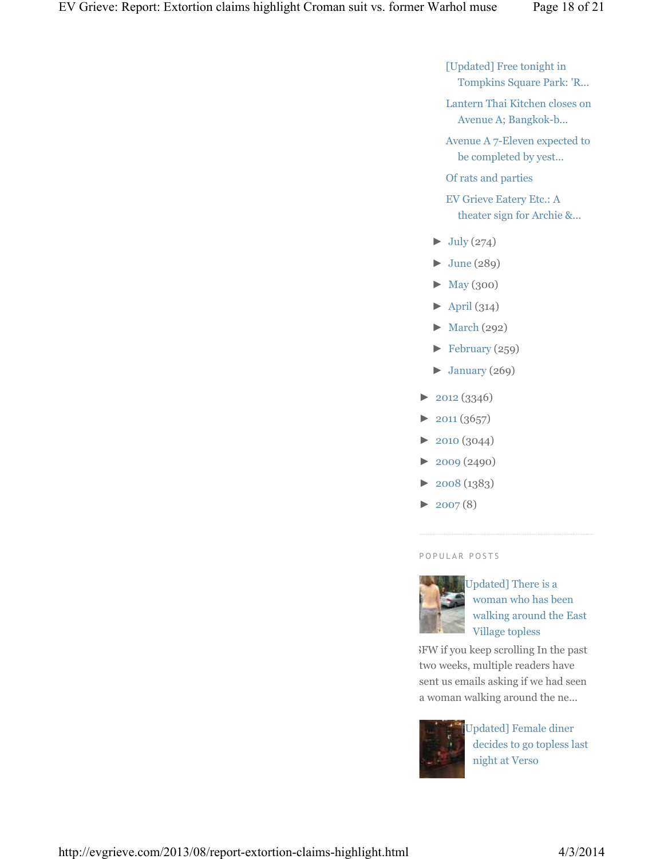[Updated] Free tonight in Tompkins Square Park: 'R...

Lantern Thai Kitchen closes on Avenue A; Bangkok-b...

Avenue A 7-Eleven expected to be completed by yest...

Of rats and parties

EV Grieve Eatery Etc.: A theater sign for Archie &...

- $\blacktriangleright$  July (274)
- $\blacktriangleright$  June (289)
- ► May (300)
- $\blacktriangleright$  April (314)
- ► March (292)
- ► February (259)
- $\blacktriangleright$  January (269)
- ► 2012 (3346)
- $\blacktriangleright$  2011 (3657)
- ► 2010 (3044)
- ► 2009 (2490)
- $\blacktriangleright$  2008 (1383)
- $\blacktriangleright$  2007(8)

## P O P U L A R P O S T S



Updated] There is a woman who has been walking around the East Village topless

NSFW if you keep scrolling In the past two weeks, multiple readers have sent us emails asking if we had seen a woman walking around the ne...



Updated] Female diner decides to go topless last night at Verso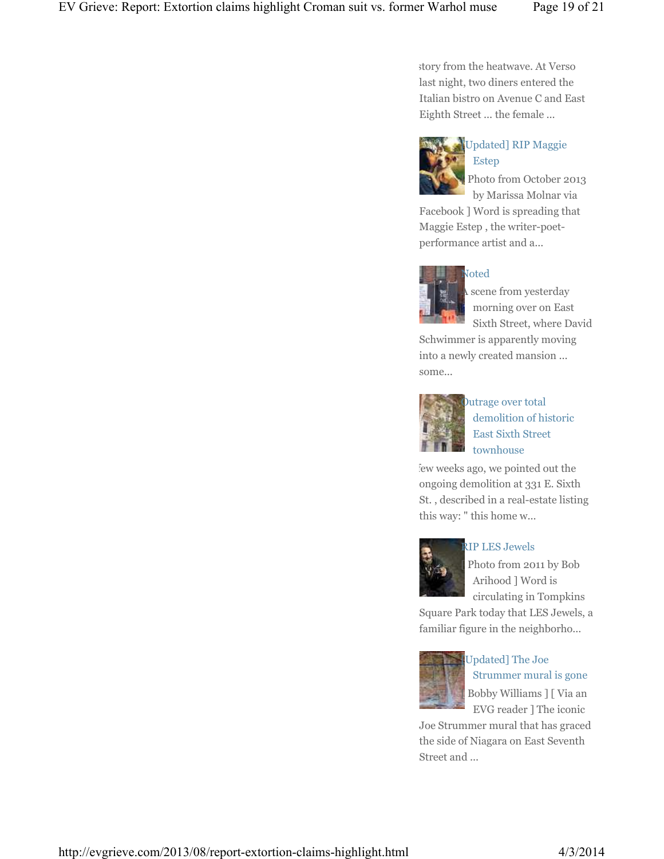story from the heatwave. At Verso last night, two diners entered the Italian bistro on Avenue C and East Eighth Street ... the female ...



## [Updated] RIP Maggie Estep

Photo from October 2013 by Marissa Molnar via

Facebook ] Word is spreading that Maggie Estep , the writer-poetperformance artist and a...



A scene from yesterday morning over on East Sixth Street, where David

Schwimmer is apparently moving into a newly created mansion ... some...



## Outrage over total demolition of historic East Sixth Street townhouse

few weeks ago, we pointed out the ongoing demolition at 331 E. Sixth St. , described in a real-estate listing this way: " this home w...



## RIP LES Jewels

Photo from 2011 by Bob Arihood ] Word is circulating in Tompkins

Square Park today that LES Jewels, a familiar figure in the neighborho...



# Updated] The Joe Strummer mural is gone [ Bobby Williams ] [ Via an EVG reader ] The iconic

Joe Strummer mural that has graced the side of Niagara on East Seventh Street and ...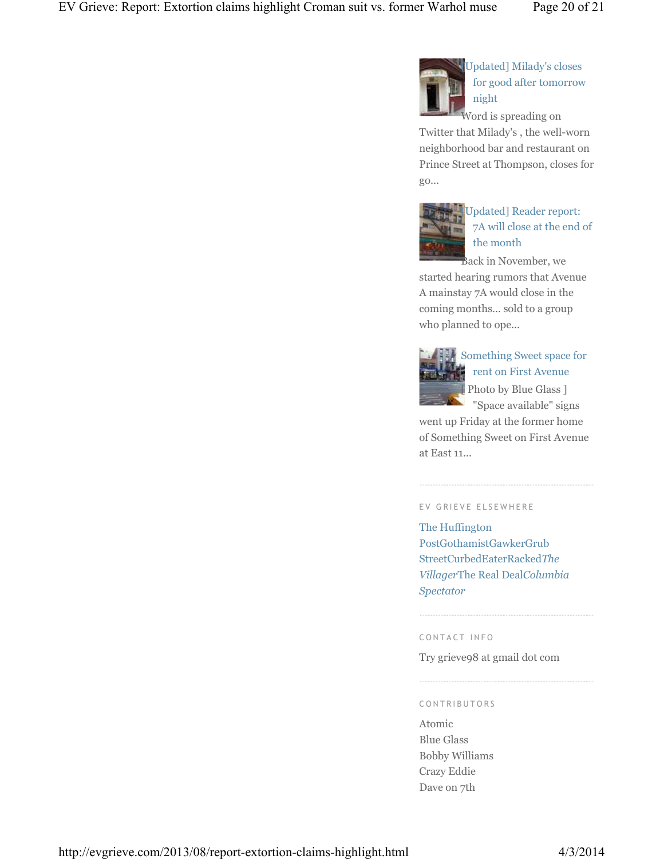

[Updated] Milady's closes for good after tomorrow night

Word is spreading on Twitter that Milady's , the well-worn neighborhood bar and restaurant on Prince Street at Thompson, closes for go...



# Updated] Reader report: 7A will close at the end of the month

Back in November, we started hearing rumors that Avenue A mainstay 7A would close in the coming months… sold to a group who planned to ope...



# Something Sweet space for rent on First Avenue

[ Photo by Blue Glass ] "Space available" signs

went up Friday at the former home of Something Sweet on First Avenue at East 11...

## EV GRIEVE ELSEWHERE

The Huffington PostGothamistGawkerGrub StreetCurbedEaterRacked*The Villager*The Real Deal*Columbia Spectator*

#### C O N T A C T I N F O

Try grieve98 at gmail dot com

#### C O N T R I B U T O R S

Atomic Blue Glass Bobby Williams Crazy Eddie Dave on 7th